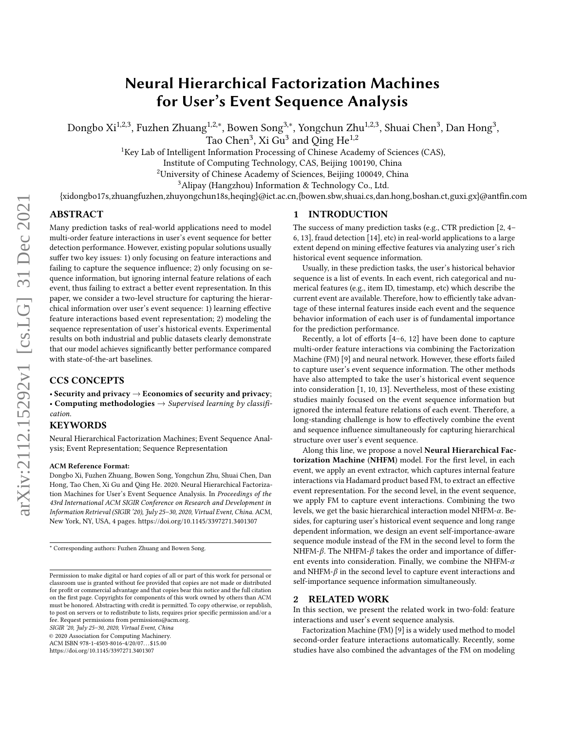# Neural Hierarchical Factorization Machines for User's Event Sequence Analysis

Dongbo Xi<sup>1,2,3</sup>, Fuzhen Zhuang<sup>1,2,∗</sup>, Bowen Song<sup>3,∗</sup>, Yongchun Zhu<sup>1,2,3</sup>, Shuai Chen<sup>3</sup>, Dan Hong<sup>3</sup>,

Tao Chen<sup>3</sup>, Xi Gu<sup>3</sup> and Qing He<sup>1,2</sup>

<sup>1</sup>Key Lab of Intelligent Information Processing of Chinese Academy of Sciences (CAS),

Institute of Computing Technology, CAS, Beijing 100190, China

<sup>2</sup>University of Chinese Academy of Sciences, Beijing 100049, China

<sup>3</sup>Alipay (Hangzhou) Information & Technology Co., Ltd.

{xidongbo17s,zhuangfuzhen,zhuyongchun18s,heqing}@ict.ac.cn,{bowen.sbw,shuai.cs,dan.hong,boshan.ct,guxi.gx}@antfin.com

# ABSTRACT

Many prediction tasks of real-world applications need to model multi-order feature interactions in user's event sequence for better detection performance. However, existing popular solutions usually suffer two key issues: 1) only focusing on feature interactions and failing to capture the sequence influence; 2) only focusing on sequence information, but ignoring internal feature relations of each event, thus failing to extract a better event representation. In this paper, we consider a two-level structure for capturing the hierarchical information over user's event sequence: 1) learning effective feature interactions based event representation; 2) modeling the sequence representation of user's historical events. Experimental results on both industrial and public datasets clearly demonstrate that our model achieves significantly better performance compared with state-of-the-art baselines.

# CCS CONCEPTS

• Security and privacy  $\rightarrow$  Economics of security and privacy; • Computing methodologies  $\rightarrow$  Supervised learning by classification.

### KEYWORDS

Neural Hierarchical Factorization Machines; Event Sequence Analysis; Event Representation; Sequence Representation

## ACM Reference Format:

Dongbo Xi, Fuzhen Zhuang, Bowen Song, Yongchun Zhu, Shuai Chen, Dan Hong, Tao Chen, Xi Gu and Qing He. 2020. Neural Hierarchical Factorization Machines for User's Event Sequence Analysis. In Proceedings of the 43rd International ACM SIGIR Conference on Research and Development in Information Retrieval (SIGIR '20), July 25–30, 2020, Virtual Event, China. ACM, New York, NY, USA, [4](#page-3-0) pages.<https://doi.org/10.1145/3397271.3401307>

SIGIR '20, July 25–30, 2020, Virtual Event, China

© 2020 Association for Computing Machinery.

ACM ISBN 978-1-4503-8016-4/20/07. . . \$15.00

<https://doi.org/10.1145/3397271.3401307>

# 1 INTRODUCTION

The success of many prediction tasks (e.g., CTR prediction [\[2,](#page-3-1) [4–](#page-3-2) [6,](#page-3-3) [13\]](#page-3-4), fraud detection [\[14\]](#page-3-5), etc) in real-world applications to a large extent depend on mining effective features via analyzing user's rich historical event sequence information.

Usually, in these prediction tasks, the user's historical behavior sequence is a list of events. In each event, rich categorical and numerical features (e.g., item ID, timestamp, etc) which describe the current event are available. Therefore, how to efficiently take advantage of these internal features inside each event and the sequence behavior information of each user is of fundamental importance for the prediction performance.

Recently, a lot of efforts [\[4](#page-3-2)[–6,](#page-3-3) [12\]](#page-3-6) have been done to capture multi-order feature interactions via combining the Factorization Machine (FM) [\[9\]](#page-3-7) and neural network. However, these efforts failed to capture user's event sequence information. The other methods have also attempted to take the user's historical event sequence into consideration [\[1,](#page-3-8) [10,](#page-3-9) [13\]](#page-3-4). Nevertheless, most of these existing studies mainly focused on the event sequence information but ignored the internal feature relations of each event. Therefore, a long-standing challenge is how to effectively combine the event and sequence influence simultaneously for capturing hierarchical structure over user's event sequence.

Along this line, we propose a novel Neural Hierarchical Factorization Machine (NHFM) model. For the first level, in each event, we apply an event extractor, which captures internal feature interactions via Hadamard product based FM, to extract an effective event representation. For the second level, in the event sequence, we apply FM to capture event interactions. Combining the two levels, we get the basic hierarchical interaction model NHFM- $\alpha$ . Besides, for capturing user's historical event sequence and long range dependent information, we design an event self-importance-aware sequence module instead of the FM in the second level to form the NHFM- $\beta$ . The NHFM- $\beta$  takes the order and importance of different events into consideration. Finally, we combine the NHFM- $\alpha$ and NHFM- $\beta$  in the second level to capture event interactions and self-importance sequence information simultaneously.

### 2 RELATED WORK

In this section, we present the related work in two-fold: feature interactions and user's event sequence analysis.

Factorization Machine (FM) [\[9\]](#page-3-7) is a widely used method to model second-order feature interactions automatically. Recently, some studies have also combined the advantages of the FM on modeling

<sup>\*</sup> Corresponding authors: Fuzhen Zhuang and Bowen Song.

Permission to make digital or hard copies of all or part of this work for personal or classroom use is granted without fee provided that copies are not made or distributed for profit or commercial advantage and that copies bear this notice and the full citation on the first page. Copyrights for components of this work owned by others than ACM must be honored. Abstracting with credit is permitted. To copy otherwise, or republish, to post on servers or to redistribute to lists, requires prior specific permission and/or a fee. Request permissions from permissions@acm.org.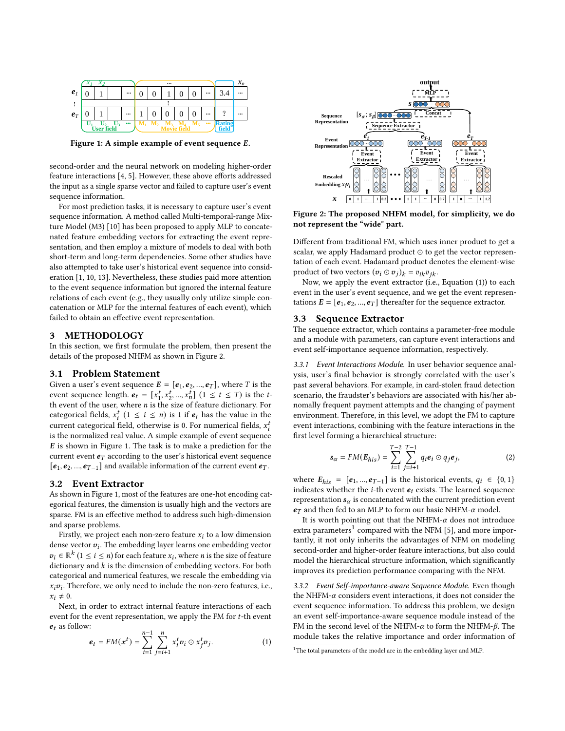<span id="page-1-1"></span>

Figure 1: A simple example of event sequence  $E$ .

second-order and the neural network on modeling higher-order feature interactions [\[4,](#page-3-2) [5\]](#page-3-10). However, these above efforts addressed the input as a single sparse vector and failed to capture user's event sequence information.

For most prediction tasks, it is necessary to capture user's event sequence information. A method called Multi-temporal-range Mixture Model (M3) [\[10\]](#page-3-9) has been proposed to apply MLP to concatenated feature embedding vectors for extracting the event representation, and then employ a mixture of models to deal with both short-term and long-term dependencies. Some other studies have also attempted to take user's historical event sequence into consideration [\[1,](#page-3-8) [10,](#page-3-9) [13\]](#page-3-4). Nevertheless, these studies paid more attention to the event sequence information but ignored the internal feature relations of each event (e.g., they usually only utilize simple concatenation or MLP for the internal features of each event), which failed to obtain an effective event representation.

### 3 METHODOLOGY

In this section, we first formulate the problem, then present the details of the proposed NHFM as shown in Figure [2.](#page-1-0)

## 3.1 Problem Statement

Given a user's event sequence  $E = [\boldsymbol{e}_1, \boldsymbol{e}_2, ..., \boldsymbol{e}_T]$ , where T is the event sequence length.  $\mathbf{e}_t = [x_1^t]$  $\left[\begin{array}{c} t & 1 \\ 1 & 2 \end{array}\right]$   $\left(\begin{array}{c} t & 1 \\ 1 & \leq t \end{array}\right]$  is the tth event of the user, where  $\boldsymbol{n}$  is the size of feature dictionary. For categorical fields,  $x_i^t$   $(1 \le i \le n)$  is 1 if  $e_t$  has the value in the current categorical field, otherwise is 0. For numerical fields,  $x_i^t$ is the normalized real value. A simple example of event sequence  $E$  is shown in Figure [1.](#page-1-1) The task is to make a prediction for the current event  $e_T$  according to the user's historical event sequence  $[e_1, e_2, ..., e_{T-1}]$  and available information of the current event  $e_T$ .

#### 3.2 Event Extractor

As shown in Figure [1,](#page-1-1) most of the features are one-hot encoding categorical features, the dimension is usually high and the vectors are sparse. FM is an effective method to address such high-dimension and sparse problems.

Firstly, we project each non-zero feature  $x_i$  to a low dimension dense vector  $v_i$ . The embedding layer learns one embedding vector  $v_i \in \mathbb{R}^k$   $(1 \le i \le n)$  for each feature  $x_i$ , where *n* is the size of feature dictionary and  $k$  is the dimension of embedding vectors. For both categorical and numerical features, we rescale the embedding via  $x_i v_i$ . Therefore, we only need to include the non-zero features, i.e.,  $x_i \neq 0$ .

Next, in order to extract internal feature interactions of each event for the event representation, we apply the FM for  $t$ -th event  $e_t$  as follow:

<span id="page-1-2"></span>
$$
\mathbf{e}_{t} = FM(\mathbf{x}^{t}) = \sum_{i=1}^{n-1} \sum_{j=i+1}^{n} x_{i}^{t} \mathbf{v}_{i} \odot x_{j}^{t} \mathbf{v}_{j}.
$$
 (1)

<span id="page-1-0"></span>

Figure 2: The proposed NHFM model, for simplicity, we do not represent the "wide" part.

Different from traditional FM, which uses inner product to get a scalar, we apply Hadamard product ⊙ to get the vector representation of each event. Hadamard product denotes the element-wise product of two vectors  $(v_i \odot v_j)_k = v_{ik} v_{ik}$ .

Now, we apply the event extractor (i.e., Equation [\(1\)](#page-1-2)) to each event in the user's event sequence, and we get the event representations  $E = [e_1, e_2, ..., e_T]$  thereafter for the sequence extractor.

#### 3.3 Sequence Extractor

The sequence extractor, which contains a parameter-free module and a module with parameters, can capture event interactions and event self-importance sequence information, respectively.

3.3.1 Event Interactions Module. In user behavior sequence analysis, user's final behavior is strongly correlated with the user's past several behaviors. For example, in card-stolen fraud detection scenario, the fraudster's behaviors are associated with his/her abnomally frequent payment attempts and the changing of payment environment. Therefore, in this level, we adopt the FM to capture event interactions, combining with the feature interactions in the first level forming a hierarchical structure:

$$
\mathbf{s}_{\alpha} = FM(\boldsymbol{E}_{his}) = \sum_{i=1}^{T-2} \sum_{j=i+1}^{T-1} q_i \boldsymbol{e}_i \odot q_j \boldsymbol{e}_j, \qquad (2)
$$

where  $E_{his} = [e_1, ..., e_{T-1}]$  is the historical events,  $q_i \in \{0, 1\}$ indicates whether the *i*-th event  $e_i$  exists. The learned sequence representation  $s_{\alpha}$  is concatenated with the current prediction event  $e_T$  and then fed to an MLP to form our basic NHFM- $\alpha$  model.

It is worth pointing out that the NHFM- $\alpha$  does not introduce extra parameters $^1$  $^1$  compared with the NFM [\[5\]](#page-3-10), and more importantly, it not only inherits the advantages of NFM on modeling second-order and higher-order feature interactions, but also could model the hierarchical structure information, which significantly improves its prediction performance comparing with the NFM.

3.3.2 Event Self-importance-aware Sequence Module. Even though the NHFM- $\alpha$  considers event interactions, it does not consider the event sequence information. To address this problem, we design an event self-importance-aware sequence module instead of the FM in the second level of the NHFM- $\alpha$  to form the NHFM- $\beta$ . The module takes the relative importance and order information of

<span id="page-1-3"></span> $1$ <sup>1</sup>The total parameters of the model are in the embedding layer and MLP.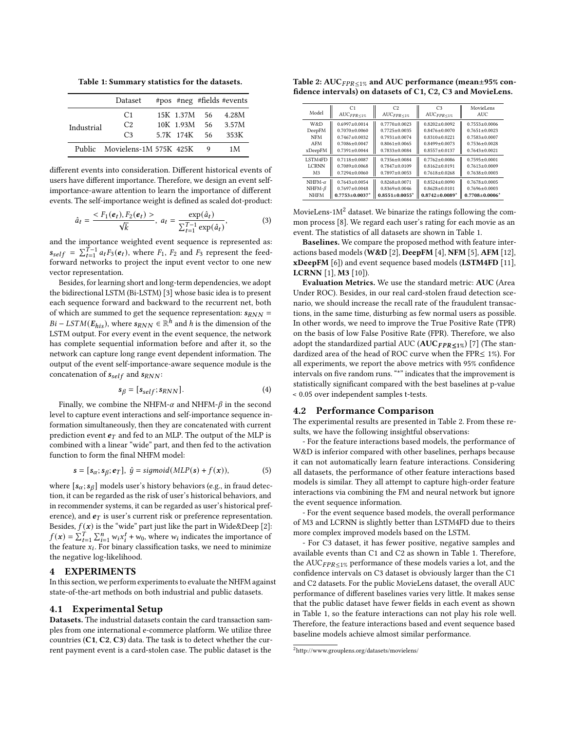<span id="page-2-1"></span>Table 1: Summary statistics for the datasets.

|            | Dataset                       |           |     | #pos #neg #fields #events |
|------------|-------------------------------|-----------|-----|---------------------------|
|            | C <sub>1</sub>                | 15K 1.37M | 56  | 4.28M                     |
| Industrial | C2                            | 10K 1.93M | 56  | 3.57M                     |
|            | C <sub>3</sub>                | 5.7K 174K | 56. | 353K                      |
|            | Public Movielens-1M 575K 425K |           |     | 1 M                       |

different events into consideration. Different historical events of users have different importance. Therefore, we design an event selfimportance-aware attention to learn the importance of different events. The self-importance weight is defined as scaled dot-product:

<span id="page-2-3"></span>
$$
\hat{a}_t = \frac{< F_1(\boldsymbol{e}_t), F_2(\boldsymbol{e}_t) >}{\sqrt{k}}, \ a_t = \frac{\exp(\hat{a}_t)}{\sum_{t=1}^{T-1} \exp(\hat{a}_t)},\tag{3}
$$

and the importance weighted event sequence is represented as:  $s_{self} = \sum_{t=1}^{T-1} a_t F_3(e_t)$ , where  $F_1$ ,  $F_2$  and  $F_3$  represent the feedforward networks to project the input event vector to one new vector representation.

Besides, for learning short and long-term dependencies, we adopt the bidirectional LSTM (Bi-LSTM) [\[3\]](#page-3-11) whose basic idea is to present each sequence forward and backward to the recurrent net, both of which are summed to get the sequence representation:  $s_{RNN}$  =  $Bi - LSTM(E_{his})$ , where  $s_{RNN} \in \mathbb{R}^h$  and h is the dimension of the LSTM output. For every event in the event sequence, the network has complete sequential information before and after it, so the network can capture long range event dependent information. The output of the event self-importance-aware sequence module is the concatenation of  $s_{self}$  and  $s_{RNN}$ :

$$
s_{\beta} = [s_{self}; s_{RNN}]. \tag{4}
$$

Finally, we combine the NHFM- $\alpha$  and NHFM- $\beta$  in the second level to capture event interactions and self-importance sequence information simultaneously, then they are concatenated with current prediction event  $e_T$  and fed to an MLP. The output of the MLP is combined with a linear "wide" part, and then fed to the activation function to form the final NHFM model:

$$
\mathbf{s} = [s_{\alpha}; s_{\beta}; \mathbf{e}_T], \; \hat{y} = sigmoid(MLP(\mathbf{s}) + f(\mathbf{x})), \tag{5}
$$

where  $[s_\alpha; s_\beta]$  models user's history behaviors (e.g., in fraud detection, it can be regarded as the risk of user's historical behaviors, and in recommender systems, it can be regarded as user's historical preference), and  $e_T$  is user's current risk or preference representation. Besides,  $f(\mathbf{x})$  is the "wide" part just like the part in Wide&Deep [\[2\]](#page-3-1):  $f(\mathbf{x}) = \sum_{t=1}^{T} \sum_{i=1}^{n} w_i x_i^t + w_0$ , where  $w_i$  indicates the importance of the feature  $x_i$ . For binary classification tasks, we need to minimize the negative log-likelihood.

# 4 EXPERIMENTS

In this section, we perform experiments to evaluate the NHFM against state-of-the-art methods on both industrial and public datasets.

# 4.1 Experimental Setup

Datasets. The industrial datasets contain the card transaction samples from one international e-commerce platform. We utilize three countries (C1, C2, C3) data. The task is to detect whether the current payment event is a card-stolen case. The public dataset is the

<span id="page-2-2"></span>

| Table 2: $AUCFPR<1%$ and AUC performance (mean $\pm$ 95% con- |
|---------------------------------------------------------------|
| fidence intervals) on datasets of C1, C2, C3 and MovieLens.   |

| Model          | C <sub>1</sub><br>$AUC_{FPR \leq 1\%}$ | C2<br>$AUC_{FPR \leq 1\%}$       | C <sub>3</sub><br>$AUC_{FPR \leq 1\%}$ | MovieLens<br>AUC.                |
|----------------|----------------------------------------|----------------------------------|----------------------------------------|----------------------------------|
| W&D            | $0.6997 + 0.0014$                      | $0.7770 + 0.0023$                | $0.8202 + 0.0092$                      | $0.7553 + 0.0006$                |
| DeepFM         | $0.7070 + 0.0060$                      | $0.7725 + 0.0035$                | $0.8476 + 0.0070$                      | $0.7651 + 0.0023$                |
| <b>NFM</b>     | $0.7467 + 0.0032$                      | $0.7931 + 0.0074$                | $0.8310 + 0.0221$                      | $0.7583 \pm 0.0007$              |
| AFM            | $0.7086 + 0.0047$                      | $0.8061 + 0.0065$                | $0.8499 + 0.0073$                      | $0.7536 + 0.0028$                |
| xDeepFM        | $0.7391 \pm 0.0044$                    | $0.7833 \pm 0.0084$              | $0.8557 + 0.0137$                      | $0.7643 + 0.0021$                |
| LSTM4FD        | $0.7118 + 0.0087$                      | $0.7356 + 0.0084$                | $0.7762 + 0.0086$                      | $0.7595 + 0.0001$                |
| <b>LCRNN</b>   | $0.7089 + 0.0068$                      | $0.7847 + 0.0109$                | $0.8162 + 0.0191$                      | $0.7613 + 0.0009$                |
| M <sub>3</sub> | $0.7294 \pm 0.0060$                    | $0.7897 + 0.0053$                | $0.7618 \pm 0.0268$                    | $0.7638 \pm 0.0003$              |
| NHFM- $\alpha$ | $0.7643 + 0.0054$                      | $0.8268 + 0.0071$                | $0.8524 + 0.0090$                      | $0.7678 + 0.0005$                |
| NHFM- $\beta$  | $0.7697 + 0.0048$                      | $0.8369 + 0.0046$                | $0.8628 + 0.0101$                      | $0.7696 + 0.0003$                |
| <b>NHFM</b>    | $0.7753+0.0037*$                       | $0.8551 \pm 0.0055$ <sup>*</sup> | $0.8742+0.0089*$                       | $0.7708 \pm 0.0006$ <sup>*</sup> |

MovieLens- $1M<sup>2</sup>$  $1M<sup>2</sup>$  $1M<sup>2</sup>$  dataset. We binarize the ratings following the common process [\[8\]](#page-3-12). We regard each user's rating for each movie as an event. The statistics of all datasets are shown in Table [1.](#page-2-1)

Baselines. We compare the proposed method with feature inter-actions based models (W&D [\[2\]](#page-3-1), DeepFM [\[4\]](#page-3-2), NFM [\[5\]](#page-3-10), AFM [\[12\]](#page-3-6), xDeepFM [\[6\]](#page-3-3)) and event sequence based models (LSTM4FD [\[11\]](#page-3-13), LCRNN [\[1\]](#page-3-8), M3 [\[10\]](#page-3-9)).

Evaluation Metrics. We use the standard metric: AUC (Area Under ROC). Besides, in our real card-stolen fraud detection scenario, we should increase the recall rate of the fraudulent transactions, in the same time, disturbing as few normal users as possible. In other words, we need to improve the True Positive Rate (TPR) on the basis of low False Positive Rate (FPR). Therefore, we also adopt the standardized partial AUC ( $AUC$   $FPR \leq 1\%$ ) [\[7\]](#page-3-14) (The standardized area of the head of ROC curve when the FPR≤ 1%). For all experiments, we report the above metrics with 95% confidence intervals on five random runs. "\*" indicates that the improvement is statistically significant compared with the best baselines at p-value < 0.05 over independent samples t-tests.

#### 4.2 Performance Comparison

The experimental results are presented in Table [2.](#page-2-2) From these results, we have the following insightful observations:

- For the feature interactions based models, the performance of W&D is inferior compared with other baselines, perhaps because it can not automatically learn feature interactions. Considering all datasets, the performance of other feature interactions based models is similar. They all attempt to capture high-order feature interactions via combining the FM and neural network but ignore the event sequence information.

- For the event sequence based models, the overall performance of M3 and LCRNN is slightly better than LSTM4FD due to theirs more complex improved models based on the LSTM.

- For C3 dataset, it has fewer positive, negative samples and available events than C1 and C2 as shown in Table [1.](#page-2-1) Therefore, the  $AUC<sub>FPR<1%</sub>$  performance of these models varies a lot, and the confidence intervals on C3 dataset is obviously larger than the C1 and C2 datasets. For the public MovieLens dataset, the overall AUC performance of different baselines varies very little. It makes sense that the public dataset have fewer fields in each event as shown in Table [1,](#page-2-1) so the feature interactions can not play his role well. Therefore, the feature interactions based and event sequence based baseline models achieve almost similar performance.

<span id="page-2-0"></span><sup>2</sup>http://www.grouplens.org/datasets/movielens/